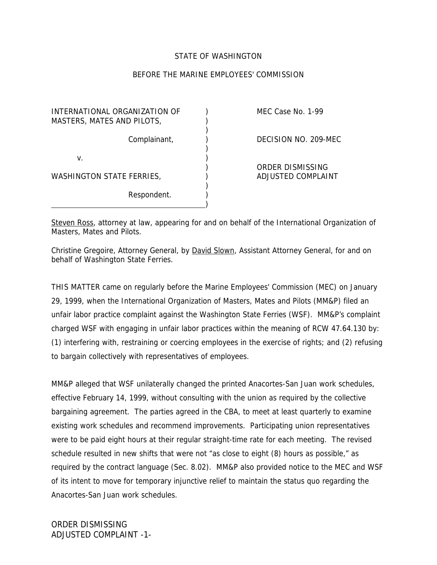#### STATE OF WASHINGTON

#### BEFORE THE MARINE EMPLOYEES' COMMISSION

INTERNATIONAL ORGANIZATION OF  $\qquad$  ) MEC Case No. 1-99 MASTERS, MATES AND PILOTS,  $)$  $)$  $\vee$ . ) WASHINGTON STATE FERRIES.  $\overrightarrow{)}$  ADJUSTED COMPLAINT  $)$  Respondent. )  $\qquad \qquad \qquad \qquad$ 

Complainant, ) DECISION NO. 209-MEC

) ORDER DISMISSING

Steven Ross, attorney at law, appearing for and on behalf of the International Organization of Masters, Mates and Pilots.

Christine Gregoire, Attorney General, by David Slown, Assistant Attorney General, for and on behalf of Washington State Ferries.

THIS MATTER came on regularly before the Marine Employees' Commission (MEC) on January 29, 1999, when the International Organization of Masters, Mates and Pilots (MM&P) filed an unfair labor practice complaint against the Washington State Ferries (WSF). MM&P's complaint charged WSF with engaging in unfair labor practices within the meaning of RCW 47.64.130 by: (1) interfering with, restraining or coercing employees in the exercise of rights; and (2) refusing to bargain collectively with representatives of employees.

MM&P alleged that WSF unilaterally changed the printed Anacortes-San Juan work schedules, effective February 14, 1999, without consulting with the union as required by the collective bargaining agreement. The parties agreed in the CBA, to meet at least quarterly to examine existing work schedules and recommend improvements. Participating union representatives were to be paid eight hours at their regular straight-time rate for each meeting. The revised schedule resulted in new shifts that were not "as close to eight (8) hours as possible," as required by the contract language (Sec. 8.02). MM&P also provided notice to the MEC and WSF of its intent to move for temporary injunctive relief to maintain the status quo regarding the Anacortes-San Juan work schedules.

ORDER DISMISSING ADJUSTED COMPLAINT -1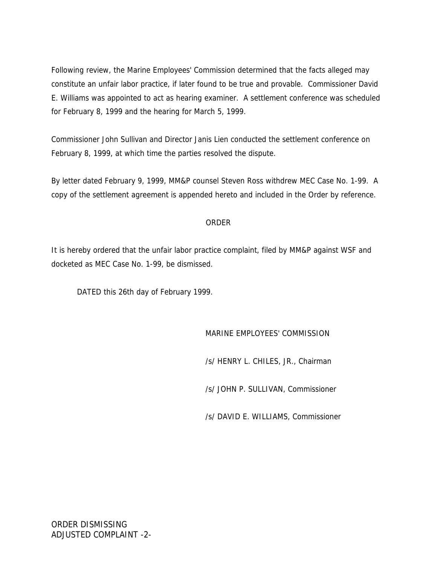Following review, the Marine Employees' Commission determined that the facts alleged may constitute an unfair labor practice, if later found to be true and provable. Commissioner David E. Williams was appointed to act as hearing examiner. A settlement conference was scheduled for February 8, 1999 and the hearing for March 5, 1999.

Commissioner John Sullivan and Director Janis Lien conducted the settlement conference on February 8, 1999, at which time the parties resolved the dispute.

By letter dated February 9, 1999, MM&P counsel Steven Ross withdrew MEC Case No. 1-99. A copy of the settlement agreement is appended hereto and included in the Order by reference.

### **ORDER**

It is hereby ordered that the unfair labor practice complaint, filed by MM&P against WSF and docketed as MEC Case No. 1-99, be dismissed.

DATED this 26th day of February 1999.

MARINE EMPLOYEES' COMMISSION

/s/ HENRY L. CHILES, JR., Chairman

/s/ JOHN P. SULLIVAN, Commissioner

/s/ DAVID E. WILLIAMS, Commissioner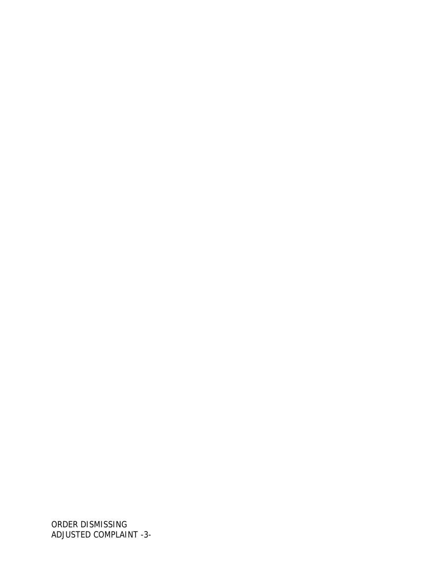ORDER DISMISSING ADJUSTED COMPLAINT -3-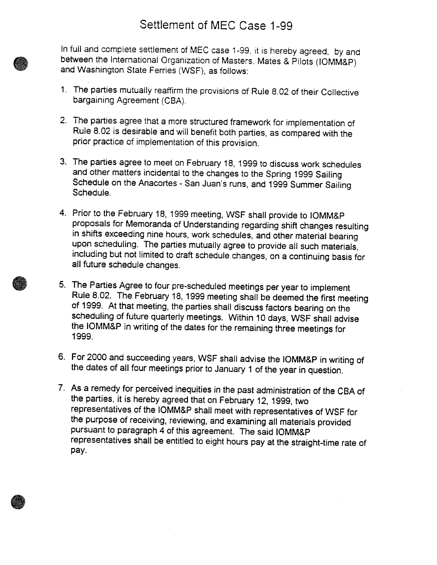# Settlement of MEC Case 1-99

In full and complete settlement of MEC case 1-99, it is hereby agreed, by and between the International Organization of Masters, Mates & Pilots (IOMM&P) and Washington State Ferries (WSF), as follows:

- 1. The parties mutually reaffirm the provisions of Rule 8.02 of their Collective bargaining Agreement (CBA).
- 2. The parties agree that a more structured framework for implementation of Rule 8.02 is desirable and will benefit both parties, as compared with the prior practice of implementation of this provision.
- 3. The parties agree to meet on February 18, 1999 to discuss work schedules and other matters incidental to the changes to the Spring 1999 Sailing Schedule on the Anacortes - San Juan's runs, and 1999 Summer Sailing Schedule.
- 4. Prior to the February 18, 1999 meeting, WSF shall provide to IOMM&P proposals for Memoranda of Understanding regarding shift changes resulting in shifts exceeding nine hours, work schedules, and other material bearing upon scheduling. The parties mutually agree to provide all such materials, including but not limited to draft schedule changes, on a continuing basis for all future schedule changes.
- 5. The Parties Agree to four pre-scheduled meetings per year to implement Rule 8.02. The February 18, 1999 meeting shall be deemed the first meeting of 1999. At that meeting, the parties shall discuss factors bearing on the scheduling of future quarterly meetings. Within 10 days, WSF shall advise the IOMM&P in writing of the dates for the remaining three meetings for 1999.
- 6. For 2000 and succeeding years, WSF shall advise the IOMM&P in writing of the dates of all four meetings prior to January 1 of the year in question.
- 7. As a remedy for perceived inequities in the past administration of the CBA of the parties, it is hereby agreed that on February 12, 1999, two representatives of the IOMM&P shall meet with representatives of WSF for the purpose of receiving, reviewing, and examining all materials provided pursuant to paragraph 4 of this agreement. The said IOMM&P representatives shall be entitled to eight hours pay at the straight-time rate of pay.